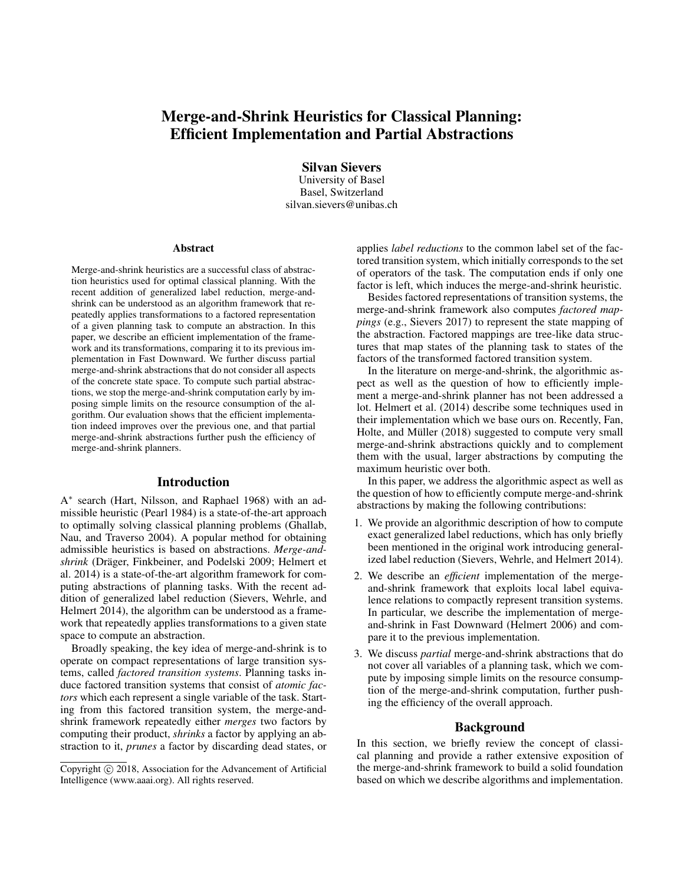# Merge-and-Shrink Heuristics for Classical Planning: Efficient Implementation and Partial Abstractions

Silvan Sievers University of Basel Basel, Switzerland silvan.sievers@unibas.ch

#### Abstract

Merge-and-shrink heuristics are a successful class of abstraction heuristics used for optimal classical planning. With the recent addition of generalized label reduction, merge-andshrink can be understood as an algorithm framework that repeatedly applies transformations to a factored representation of a given planning task to compute an abstraction. In this paper, we describe an efficient implementation of the framework and its transformations, comparing it to its previous implementation in Fast Downward. We further discuss partial merge-and-shrink abstractions that do not consider all aspects of the concrete state space. To compute such partial abstractions, we stop the merge-and-shrink computation early by imposing simple limits on the resource consumption of the algorithm. Our evaluation shows that the efficient implementation indeed improves over the previous one, and that partial merge-and-shrink abstractions further push the efficiency of merge-and-shrink planners.

## Introduction

A ∗ search (Hart, Nilsson, and Raphael 1968) with an admissible heuristic (Pearl 1984) is a state-of-the-art approach to optimally solving classical planning problems (Ghallab, Nau, and Traverso 2004). A popular method for obtaining admissible heuristics is based on abstractions. *Merge-andshrink* (Dräger, Finkbeiner, and Podelski 2009; Helmert et al. 2014) is a state-of-the-art algorithm framework for computing abstractions of planning tasks. With the recent addition of generalized label reduction (Sievers, Wehrle, and Helmert 2014), the algorithm can be understood as a framework that repeatedly applies transformations to a given state space to compute an abstraction.

Broadly speaking, the key idea of merge-and-shrink is to operate on compact representations of large transition systems, called *factored transition systems*. Planning tasks induce factored transition systems that consist of *atomic factors* which each represent a single variable of the task. Starting from this factored transition system, the merge-andshrink framework repeatedly either *merges* two factors by computing their product, *shrinks* a factor by applying an abstraction to it, *prunes* a factor by discarding dead states, or

applies *label reductions* to the common label set of the factored transition system, which initially corresponds to the set of operators of the task. The computation ends if only one factor is left, which induces the merge-and-shrink heuristic.

Besides factored representations of transition systems, the merge-and-shrink framework also computes *factored mappings* (e.g., Sievers 2017) to represent the state mapping of the abstraction. Factored mappings are tree-like data structures that map states of the planning task to states of the factors of the transformed factored transition system.

In the literature on merge-and-shrink, the algorithmic aspect as well as the question of how to efficiently implement a merge-and-shrink planner has not been addressed a lot. Helmert et al. (2014) describe some techniques used in their implementation which we base ours on. Recently, Fan, Holte, and Müller (2018) suggested to compute very small merge-and-shrink abstractions quickly and to complement them with the usual, larger abstractions by computing the maximum heuristic over both.

In this paper, we address the algorithmic aspect as well as the question of how to efficiently compute merge-and-shrink abstractions by making the following contributions:

- 1. We provide an algorithmic description of how to compute exact generalized label reductions, which has only briefly been mentioned in the original work introducing generalized label reduction (Sievers, Wehrle, and Helmert 2014).
- 2. We describe an *efficient* implementation of the mergeand-shrink framework that exploits local label equivalence relations to compactly represent transition systems. In particular, we describe the implementation of mergeand-shrink in Fast Downward (Helmert 2006) and compare it to the previous implementation.
- 3. We discuss *partial* merge-and-shrink abstractions that do not cover all variables of a planning task, which we compute by imposing simple limits on the resource consumption of the merge-and-shrink computation, further pushing the efficiency of the overall approach.

#### Background

In this section, we briefly review the concept of classical planning and provide a rather extensive exposition of the merge-and-shrink framework to build a solid foundation based on which we describe algorithms and implementation.

Copyright (c) 2018, Association for the Advancement of Artificial Intelligence (www.aaai.org). All rights reserved.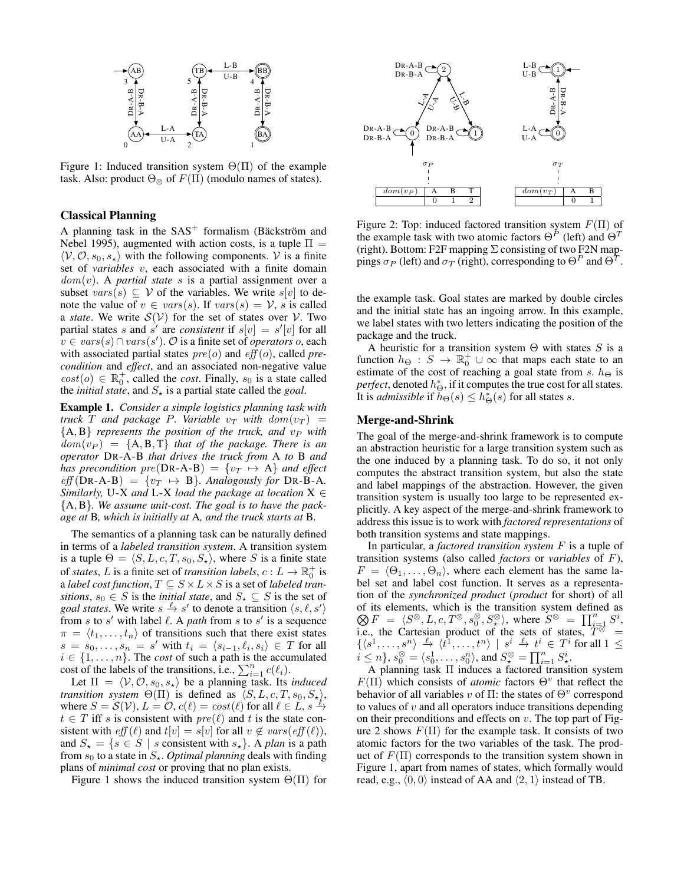

Figure 1: Induced transition system  $\Theta(\Pi)$  of the example task. Also: product  $\Theta_{\otimes}$  of  $F(\Pi)$  (modulo names of states).

# Classical Planning

A planning task in the  $SAS^+$  formalism (Bäckström and Nebel 1995), augmented with action costs, is a tuple  $\Pi =$  $\langle V, O, s_0, s_* \rangle$  with the following components. V is a finite set of *variables* v, each associated with a finite domain dom(v). A *partial state* s is a partial assignment over a subset  $vars(s) \subseteq V$  of the variables. We write  $s[v]$  to denote the value of  $v \in vars(s)$ . If  $vars(s) = V$ , s is called a *state*. We write  $S(V)$  for the set of states over V. Two partial states s and s' are *consistent* if  $s[v] = s'[v]$  for all v ∈ vars(s)∩vars(s 0 ). O is a finite set of *operators* o, each with associated partial states  $pre(o)$  and  $eff(o)$ , called *precondition* and *effect*, and an associated non-negative value  $cost(o) \in \mathbb{R}_0^+$ , called the *cost*. Finally,  $s_0$  is a state called the *initial state*, and  $S_{\star}$  is a partial state called the *goal*.

Example 1. *Consider a simple logistics planning task with truck* T and package P. Variable  $v_T$  with  $dom(v_T)$  =  ${A, B}$  *represents the position of the truck, and*  $v_P$  *with*  $dom(v_P) = \{A, B, T\}$  *that of the package. There is an operator* DR-A-B *that drives the truck from* A *to* B *and has precondition*  $pre(DR-A-B) = \{v_T \mapsto A\}$  *and effect*  $eff(DR-A-B) = \{v_T \mapsto B\}$ . Analogously for DR-B-A. *Similarly,* U-X *and* L-X *load the package at location* X ∈ {A, B}*. We assume unit-cost. The goal is to have the package at* B*, which is initially at* A*, and the truck starts at* B*.*

The semantics of a planning task can be naturally defined in terms of a *labeled transition system*. A transition system is a tuple  $\Theta = \langle S, L, c, T, s_0, S_{\star} \rangle$ , where S is a finite state of *states*, L is a finite set of *transition labels*,  $c: L \to \mathbb{R}_0^+$  is a *label cost function*,  $T \subseteq S \times L \times S$  is a set of *labeled transitions*,  $s_0 \in S$  is the *initial state*, and  $S_{\star} \subseteq S$  is the set of *goal states.* We write  $s \xrightarrow{\ell} s'$  to denote a transition  $\langle s, \ell, s' \rangle$ from s to s' with label  $\ell$ . A *path* from s to s' is a sequence  $\pi = \langle t_1, \ldots, t_n \rangle$  of transitions such that there exist states  $s = s_0, \ldots, s_n = s'$  with  $t_i = \langle s_{i-1}, \ell_i, s_i \rangle \in T$  for all  $i \in \{1, \ldots, n\}$ . The *cost* of such a path is the accumulated cost of the labels of the transitions, i.e.,  $\sum_{i=1}^{n} c(\ell_i)$ .

Let  $\Pi = \langle V, O, s_0, s_* \rangle$  be a planning task. Its *induced transition system*  $\Theta(\Pi)$  is defined as  $\langle S, L, c, T, s_0, S_{\star} \rangle$ , where  $S = \mathcal{S}(\mathcal{V}), L = \mathcal{O}, c(\ell) = cost(\ell)$  for all  $\ell \in L, s \stackrel{\ell}{\to}$  $t \in T$  iff s is consistent with  $pre(\ell)$  and t is the state consistent with  $eff(\ell)$  and  $t[v] = s[v]$  for all  $v \notin vars(eff(\ell)),$ and  $S_{\star} = \{s \in S \mid s \text{ consistent with } s_{\star}\}\$ . A *plan* is a path from  $s_0$  to a state in  $S_{\star}$ . *Optimal planning* deals with finding plans of *minimal cost* or proving that no plan exists.

Figure 1 shows the induced transition system  $\Theta(\Pi)$  for



Figure 2: Top: induced factored transition system  $F(\Pi)$  of the example task with two atomic factors  $\Theta^P$  (left) and  $\Theta^T$ (right). Bottom: F2F mapping  $\Sigma$  consisting of two F2N mappings  $\sigma_P$  (left) and  $\sigma_T$  (right), corresponding to  $\Theta^P$  and  $\Theta^T$ .

the example task. Goal states are marked by double circles and the initial state has an ingoing arrow. In this example, we label states with two letters indicating the position of the package and the truck.

A heuristic for a transition system  $\Theta$  with states S is a function  $h_{\Theta}: S \to \mathbb{R}^+_0 \cup \infty$  that maps each state to an estimate of the cost of reaching a goal state from s.  $h_{\Theta}$  is *perfect*, denoted  $h^*_{\Theta}$ , if it computes the true cost for all states. It is *admissible* if  $\check{h}_{\Theta}(s) \leq h_{\Theta}^{*}(s)$  for all states s.

#### Merge-and-Shrink

The goal of the merge-and-shrink framework is to compute an abstraction heuristic for a large transition system such as the one induced by a planning task. To do so, it not only computes the abstract transition system, but also the state and label mappings of the abstraction. However, the given transition system is usually too large to be represented explicitly. A key aspect of the merge-and-shrink framework to address this issue is to work with *factored representations* of both transition systems and state mappings.

In particular, a *factored transition system* F is a tuple of transition systems (also called *factors* or *variables* of F),  $F = \langle \Theta_1, \ldots, \Theta_n \rangle$ , where each element has the same label set and label cost function. It serves as a representation of the *synchronized product* (*product* for short) of all of its elements, which is the transition system defined as  $\bigotimes F = \langle S^{\otimes}, L, c, T^{\otimes}, s_0^{\otimes}, S_{\star}^{\otimes} \rangle$ , where  $S^{\otimes} = \prod_{i=1}^{n} S^{i}$ , i.e., the Cartesian product of the sets of states,  $T^{\otimes}$  =  $\{\langle s^1,\ldots,s^n\rangle\ \stackrel{\ell}{\rightarrow}\ \langle \overline{t^1},\ldots,t^n\rangle\ \mid\ s^i \stackrel{\ell}{\rightarrow}\ t^i\ \in\ T^i \text{ for all } 1\ \leq$  $i \leq n$ ,  $s_0 \otimes = \langle s_0^1, \ldots, s_0^n \rangle$ , and  $S_{\star} \otimes = \prod_{i=1}^n S_{\star}^i$ .

A planning task Π induces a factored transition system  $F(\Pi)$  which consists of *atomic* factors  $\Theta^v$  that reflect the behavior of all variables v of  $\Pi$ : the states of  $\Theta^v$  correspond to values of  $v$  and all operators induce transitions depending on their preconditions and effects on  $v$ . The top part of Figure 2 shows  $F(\Pi)$  for the example task. It consists of two atomic factors for the two variables of the task. The product of  $F(\Pi)$  corresponds to the transition system shown in Figure 1, apart from names of states, which formally would read, e.g.,  $\langle 0, 0 \rangle$  instead of AA and  $\langle 2, 1 \rangle$  instead of TB.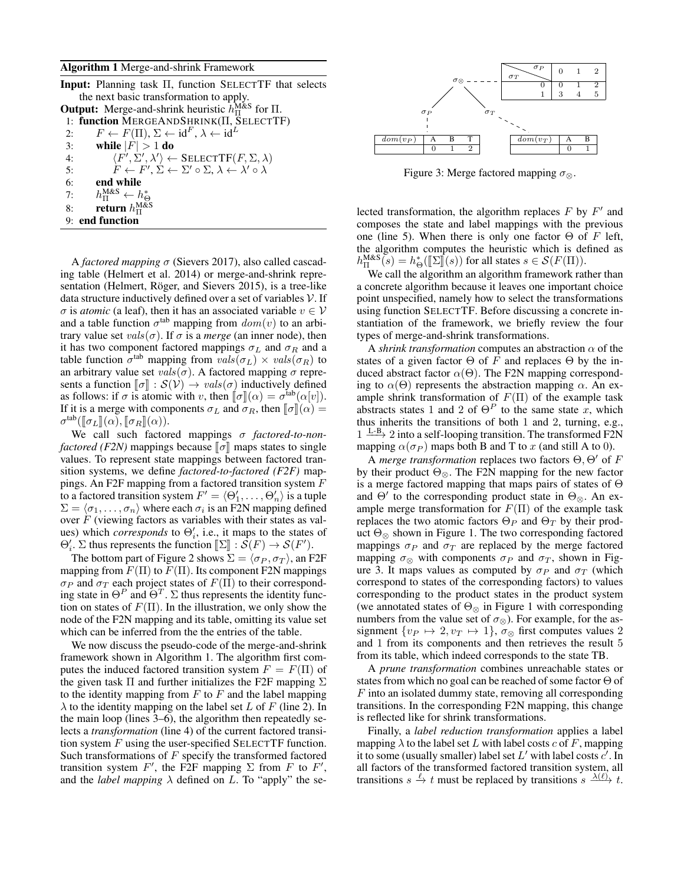#### Algorithm 1 Merge-and-shrink Framework

| <b>Input:</b> Planning task $\Pi$ , function SELECTTF that selects                                         |
|------------------------------------------------------------------------------------------------------------|
| the next basic transformation to apply.                                                                    |
| <b>Output:</b> Merge-and-shrink heuristic $h_{\Pi}^{\text{M&S}}$ for $\Pi$ .                               |
| 1: function MERGEANDSHRINK(II, SELECTTF)                                                                   |
| $F \leftarrow F(\Pi), \Sigma \leftarrow id^F, \lambda \leftarrow id^L$<br>2:                               |
| while $ F  > 1$ do<br>3:                                                                                   |
| $\langle F', \Sigma', \lambda' \rangle \leftarrow$ SELECTTF $(F, \Sigma, \lambda)$<br>4:                   |
| 5:<br>$F \leftarrow F', \Sigma \leftarrow \Sigma' \circ \Sigma, \lambda \leftarrow \lambda' \circ \lambda$ |
| 6:<br>end while                                                                                            |
| $h_{\Pi}^{\text{M&S}} \leftarrow h_{\Theta}^*$<br>7:                                                       |
| return $h_{\Pi}^{\text{M&S}}$<br>8:                                                                        |
| 9: end function                                                                                            |
|                                                                                                            |

A *factored mapping* σ (Sievers 2017), also called cascading table (Helmert et al. 2014) or merge-and-shrink representation (Helmert, Röger, and Sievers 2015), is a tree-like data structure inductively defined over a set of variables  $V$ . If  $\sigma$  is *atomic* (a leaf), then it has an associated variable  $v \in V$ and a table function  $\sigma^{\text{tab}}$  mapping from  $dom(v)$  to an arbitrary value set  $vals(\sigma)$ . If  $\sigma$  is a *merge* (an inner node), then it has two component factored mappings  $\sigma_L$  and  $\sigma_R$  and a table function  $\sigma^{\text{tab}}$  mapping from  $\overline{vals(\sigma_L) \times vals(\sigma_R)}$  to an arbitrary value set  $vals(σ)$ . A factored mapping  $σ$  represents a function  $\llbracket \sigma \rrbracket : \mathcal{S}(\mathcal{V}) \to \text{vals}(\sigma)$  inductively defined as follows: if  $\sigma$  is atomic with v, then  $[\![\sigma]\!] (\alpha) = \sigma^{\text{tab}}(\alpha[v])$ .<br>If it is a merge with components  $\sigma_x$  and  $\sigma_p$  then  $[\![\sigma]\!] (\alpha)$ If it is a merge with components  $\sigma_L$  and  $\sigma_R$ , then  $\lbrack \lbrack \sigma \rbrack \rbrack (\alpha) =$  $\sigma^{\text{tab}}(\llbracket \sigma_L \rrbracket(\alpha), \llbracket \sigma_R \rrbracket(\alpha)).$ <br>We sell such fector

We call such factored mappings σ *factored-to-nonfactored (F2N)* mappings because  $\llbracket \sigma \rrbracket$  maps states to single values. To represent state mappings between factored transition systems, we define *factored-to-factored (F2F)* mappings. An F2F mapping from a factored transition system  $F$ to a factored transition system  $F' = \langle \Theta'_1, \ldots, \Theta'_n \rangle$  is a tuple  $\Sigma = \langle \sigma_1, \ldots, \sigma_n \rangle$  where each  $\sigma_i$  is an F2N mapping defined over  $F$  (viewing factors as variables with their states as values) which *corresponds* to  $\Theta_i'$ , i.e., it maps to the states of  $\Theta'_i$ .  $\Sigma$  thus represents the function  $[\Sigma] : \mathcal{S}(F) \to \mathcal{S}(F')$ .<br>The better next of Figure 2 shows  $\Sigma = (\pi - \pi)$  on E

The bottom part of Figure 2 shows  $\Sigma = \langle \sigma_P, \sigma_T \rangle$ , an F2F mapping from  $F(\Pi)$  to  $F(\Pi)$ . Its component F2N mappings  $\sigma_P$  and  $\sigma_T$  each project states of  $F(\Pi)$  to their corresponding state in  $\Theta^P$  and  $\Theta^T$ .  $\Sigma$  thus represents the identity function on states of  $F(\Pi)$ . In the illustration, we only show the node of the F2N mapping and its table, omitting its value set which can be inferred from the the entries of the table.

We now discuss the pseudo-code of the merge-and-shrink framework shown in Algorithm 1. The algorithm first computes the induced factored transition system  $F = F(\Pi)$  of the given task  $\Pi$  and further initializes the F2F mapping  $\Sigma$ to the identity mapping from  $F$  to  $F$  and the label mapping  $\lambda$  to the identity mapping on the label set L of F (line 2). In the main loop (lines 3–6), the algorithm then repeatedly selects a *transformation* (line 4) of the current factored transition system  $F$  using the user-specified SELECTTF function. Such transformations of  $F$  specify the transformed factored transition system  $F'$ , the F2F mapping  $\Sigma$  from F to F', and the *label mapping*  $\lambda$  defined on L. To "apply" the se-



Figure 3: Merge factored mapping  $\sigma_{\infty}$ .

lected transformation, the algorithm replaces  $F$  by  $F'$  and composes the state and label mappings with the previous one (line 5). When there is only one factor  $\Theta$  of F left, the algorithm computes the heuristic which is defined as  $h_{\text{II}}^{\text{MAS}}(s) = h_{\Theta}^*(\llbracket \Sigma \rrbracket(s))$  for all states  $s \in \mathcal{S}(F(\Pi)).$ <br>We call the electrity an electric framework rate

We call the algorithm an algorithm framework rather than a concrete algorithm because it leaves one important choice point unspecified, namely how to select the transformations using function SELECTTF. Before discussing a concrete instantiation of the framework, we briefly review the four types of merge-and-shrink transformations.

A *shrink transformation* computes an abstraction  $\alpha$  of the states of a given factor  $\Theta$  of F and replaces  $\Theta$  by the induced abstract factor  $\alpha(\Theta)$ . The F2N mapping corresponding to  $\alpha(\Theta)$  represents the abstraction mapping  $\alpha$ . An example shrink transformation of  $F(\Pi)$  of the example task abstracts states 1 and 2 of  $\Theta^P$  to the same state x, which thus inherits the transitions of both 1 and 2, turning, e.g.,  $1 \xrightarrow{\text{L-B}} 2$  into a self-looping transition. The transformed F2N mapping  $\alpha(\sigma_P)$  maps both B and T to x (and still A to 0).

A *merge transformation* replaces two factors  $\Theta$ ,  $\Theta'$  of F by their product  $\Theta_{\otimes}$ . The F2N mapping for the new factor is a merge factored mapping that maps pairs of states of Θ and  $\Theta'$  to the corresponding product state in  $\Theta_{\otimes}$ . An example merge transformation for  $F(\Pi)$  of the example task replaces the two atomic factors  $\Theta_P$  and  $\Theta_T$  by their product  $\Theta_{\otimes}$  shown in Figure 1. The two corresponding factored mappings  $\sigma_P$  and  $\sigma_T$  are replaced by the merge factored mapping  $\sigma_{\otimes}$  with components  $\sigma_P$  and  $\sigma_T$ , shown in Figure 3. It maps values as computed by  $\sigma_P$  and  $\sigma_T$  (which correspond to states of the corresponding factors) to values corresponding to the product states in the product system (we annotated states of  $\Theta_{\otimes}$  in Figure 1 with corresponding numbers from the value set of  $\sigma_{\otimes}$ ). For example, for the assignment  $\{v_P \mapsto 2, v_T \mapsto 1\}, \sigma_{\otimes}$  first computes values 2 and 1 from its components and then retrieves the result 5 from its table, which indeed corresponds to the state TB.

A *prune transformation* combines unreachable states or states from which no goal can be reached of some factor Θ of  $F$  into an isolated dummy state, removing all corresponding transitions. In the corresponding F2N mapping, this change is reflected like for shrink transformations.

Finally, a *label reduction transformation* applies a label mapping  $\lambda$  to the label set L with label costs c of F, mapping it to some (usually smaller) label set  $L'$  with label costs  $c'$ . In all factors of the transformed factored transition system, all transitions  $s \stackrel{\ell}{\to} t$  must be replaced by transitions  $s \stackrel{\lambda(\ell)}{\to} t$ .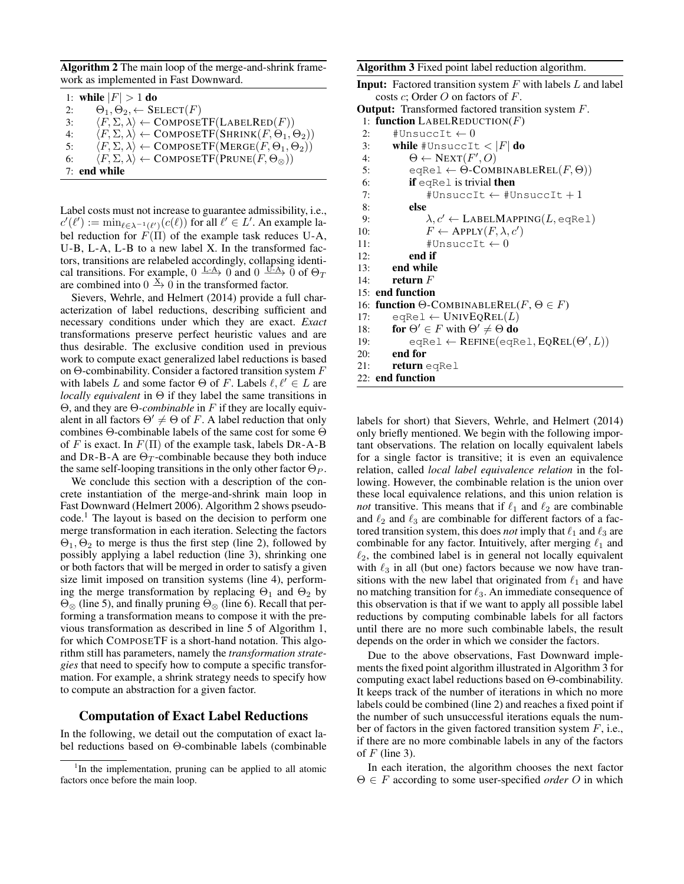Algorithm 2 The main loop of the merge-and-shrink framework as implemented in Fast Downward.

|    | 1: while $ F  > 1$ do                                                                                  |
|----|--------------------------------------------------------------------------------------------------------|
| 2: | $\Theta_1, \Theta_2, \leftarrow$ SELECT $(F)$                                                          |
| 3: | $\langle F, \Sigma, \lambda \rangle \leftarrow \text{COMPOSETF}(\text{LABELRED}(F))$                   |
| 4: | $\langle F, \Sigma, \lambda \rangle \leftarrow \text{COMPOSETF}(\text{SHRINK}(F, \Theta_1, \Theta_2))$ |
| 5: | $\langle F, \Sigma, \lambda \rangle \leftarrow \text{COMPOSETF}(\text{MERGE}(F, \Theta_1, \Theta_2))$  |
| 6: | $\langle F, \Sigma, \lambda \rangle \leftarrow \text{COMPOSETF}(\text{PRUNE}(F, \Theta_{\otimes}))$    |
|    | $7:$ end while                                                                                         |

Label costs must not increase to guarantee admissibility, i.e.,  $c'(\ell') := \min_{\ell \in \lambda^{-1}(\ell')}(c(\ell))$  for all  $\ell' \in L'$ . An example label reduction for  $F(\Pi)$  of the example task reduces U-A, U-B, L-A, L-B to a new label X. In the transformed factors, transitions are relabeled accordingly, collapsing identical transitions. For example,  $0 \xrightarrow{L-A} 0$  and  $0 \xrightarrow{U-A} 0$  of  $\Theta_T$ are combined into  $0 \stackrel{X}{\rightarrow} 0$  in the transformed factor.

Sievers, Wehrle, and Helmert (2014) provide a full characterization of label reductions, describing sufficient and necessary conditions under which they are exact. *Exact* transformations preserve perfect heuristic values and are thus desirable. The exclusive condition used in previous work to compute exact generalized label reductions is based on Θ-combinability. Consider a factored transition system  $F$ with labels L and some factor  $\Theta$  of F. Labels  $\ell, \ell' \in L$  are *locally equivalent* in Θ if they label the same transitions in Θ, and they are Θ*-combinable* in F if they are locally equivalent in all factors  $\Theta' \neq \Theta$  of F. A label reduction that only combines Θ-combinable labels of the same cost for some Θ of F is exact. In  $F(\Pi)$  of the example task, labels DR-A-B and DR-B-A are  $\Theta_T$ -combinable because they both induce the same self-looping transitions in the only other factor  $\Theta_P$ .

We conclude this section with a description of the concrete instantiation of the merge-and-shrink main loop in Fast Downward (Helmert 2006). Algorithm 2 shows pseudo $code<sup>1</sup>$ . The layout is based on the decision to perform one merge transformation in each iteration. Selecting the factors  $\Theta_1$ ,  $\Theta_2$  to merge is thus the first step (line 2), followed by possibly applying a label reduction (line 3), shrinking one or both factors that will be merged in order to satisfy a given size limit imposed on transition systems (line 4), performing the merge transformation by replacing  $\Theta_1$  and  $\Theta_2$  by  $\Theta_{\otimes}$  (line 5), and finally pruning  $\Theta_{\otimes}$  (line 6). Recall that performing a transformation means to compose it with the previous transformation as described in line 5 of Algorithm 1, for which COMPOSETF is a short-hand notation. This algorithm still has parameters, namely the *transformation strategies* that need to specify how to compute a specific transformation. For example, a shrink strategy needs to specify how to compute an abstraction for a given factor.

# Computation of Exact Label Reductions

In the following, we detail out the computation of exact label reductions based on Θ-combinable labels (combinable Algorithm 3 Fixed point label reduction algorithm.

```
Input: Factored transition system F with labels L and label
costs c; Order O on factors of F.
```

```
Output: Transformed factored transition system F.
```

```
1: function LABELREDUCTION(F)
```

```
2: #UnsuccIt \leftarrow 0
```
- 3: while #UnsuccIt  $<$   $|F|$  do
- 4:  $\Theta \leftarrow \text{NEXT}(F',O)$
- 5: eqRel  $\leftarrow \Theta$ -COMBINABLEREL $(F, \Theta)$ )
- 6: if eqRel is trivial then
- 7:  $\text{HUnsucc} \leftarrow \text{HUnsucc} \leftarrow \text{H}$ 8: else
- 9:  $\lambda, c' \leftarrow \text{LABELMAPPING}(L, \text{eqRel})$

```
10: \overline{F} \leftarrow \text{APPLY}(F, \lambda, c')
```

```
11: \text{HUnsuccIt} \leftarrow 0
```

```
12: end if
```

```
13: end while
```

```
14: return F
```
15: end function

16: function  $\Theta$ -COMBINABLEREL( $F, \Theta \in F$ )

- 17:  $eqRel \leftarrow UNIVEQREL(L)$
- 18: **for**  $\Theta' \in F$  with  $\Theta' \neq \Theta$  **do**
- 19:  $eqReLU \leftarrow REFINE(eqRel, EQREL(\Theta', L))$

20: end for

```
21: return eqRel
```

```
22: end function
```
labels for short) that Sievers, Wehrle, and Helmert (2014) only briefly mentioned. We begin with the following important observations. The relation on locally equivalent labels for a single factor is transitive; it is even an equivalence relation, called *local label equivalence relation* in the following. However, the combinable relation is the union over these local equivalence relations, and this union relation is *not* transitive. This means that if  $\ell_1$  and  $\ell_2$  are combinable and  $\ell_2$  and  $\ell_3$  are combinable for different factors of a factored transition system, this does *not* imply that  $\ell_1$  and  $\ell_3$  are combinable for any factor. Intuitively, after merging  $\ell_1$  and  $\ell_2$ , the combined label is in general not locally equivalent with  $\ell_3$  in all (but one) factors because we now have transitions with the new label that originated from  $\ell_1$  and have no matching transition for  $\ell_3$ . An immediate consequence of this observation is that if we want to apply all possible label reductions by computing combinable labels for all factors until there are no more such combinable labels, the result depends on the order in which we consider the factors.

Due to the above observations, Fast Downward implements the fixed point algorithm illustrated in Algorithm 3 for computing exact label reductions based on Θ-combinability. It keeps track of the number of iterations in which no more labels could be combined (line 2) and reaches a fixed point if the number of such unsuccessful iterations equals the number of factors in the given factored transition system  $F$ , i.e., if there are no more combinable labels in any of the factors of  $F$  (line 3).

In each iteration, the algorithm chooses the next factor Θ ∈ F according to some user-specified *order* O in which

<sup>&</sup>lt;sup>1</sup>In the implementation, pruning can be applied to all atomic factors once before the main loop.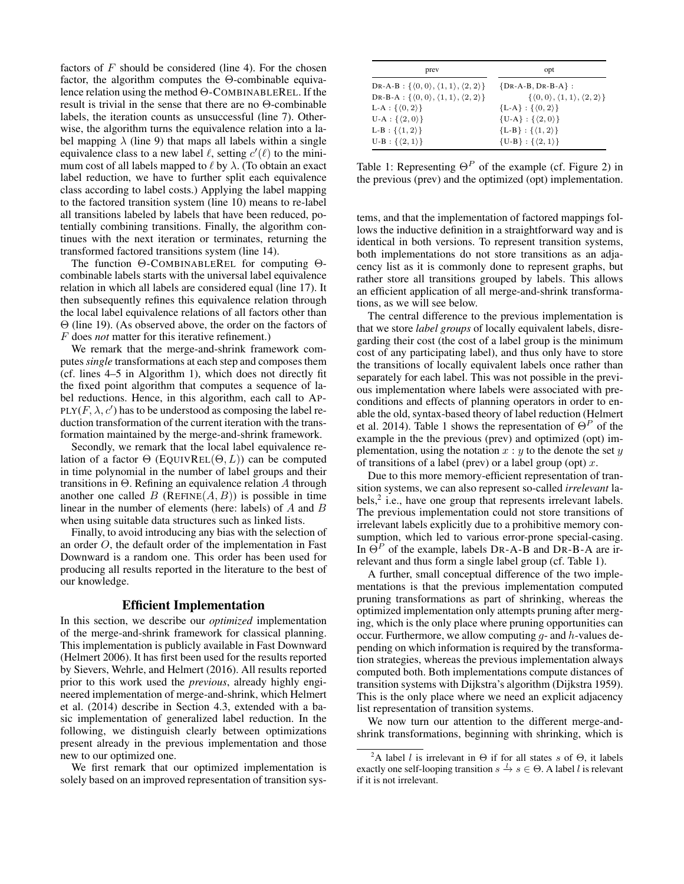factors of  $F$  should be considered (line 4). For the chosen factor, the algorithm computes the Θ-combinable equivalence relation using the method Θ-COMBINABLEREL. If the result is trivial in the sense that there are no Θ-combinable labels, the iteration counts as unsuccessful (line 7). Otherwise, the algorithm turns the equivalence relation into a label mapping  $\lambda$  (line 9) that maps all labels within a single equivalence class to a new label  $\ell$ , setting  $c'(\ell)$  to the minimum cost of all labels mapped to  $\ell$  by  $\lambda$ . (To obtain an exact label reduction, we have to further split each equivalence class according to label costs.) Applying the label mapping to the factored transition system (line 10) means to re-label all transitions labeled by labels that have been reduced, potentially combining transitions. Finally, the algorithm continues with the next iteration or terminates, returning the transformed factored transitions system (line 14).

The function Θ-COMBINABLEREL for computing Θcombinable labels starts with the universal label equivalence relation in which all labels are considered equal (line 17). It then subsequently refines this equivalence relation through the local label equivalence relations of all factors other than Θ (line 19). (As observed above, the order on the factors of F does *not* matter for this iterative refinement.)

We remark that the merge-and-shrink framework computes *single* transformations at each step and composes them (cf. lines 4–5 in Algorithm 1), which does not directly fit the fixed point algorithm that computes a sequence of label reductions. Hence, in this algorithm, each call to AP-PLY( $F, \lambda, c'$ ) has to be understood as composing the label reduction transformation of the current iteration with the transformation maintained by the merge-and-shrink framework.

Secondly, we remark that the local label equivalence relation of a factor  $\Theta$  (EQUIVREL( $\Theta$ , L)) can be computed in time polynomial in the number of label groups and their transitions in Θ. Refining an equivalence relation A through another one called  $B$  (REFINE $(A, B)$ ) is possible in time linear in the number of elements (here: labels) of A and B when using suitable data structures such as linked lists.

Finally, to avoid introducing any bias with the selection of an order O, the default order of the implementation in Fast Downward is a random one. This order has been used for producing all results reported in the literature to the best of our knowledge.

# Efficient Implementation

In this section, we describe our *optimized* implementation of the merge-and-shrink framework for classical planning. This implementation is publicly available in Fast Downward (Helmert 2006). It has first been used for the results reported by Sievers, Wehrle, and Helmert (2016). All results reported prior to this work used the *previous*, already highly engineered implementation of merge-and-shrink, which Helmert et al. (2014) describe in Section 4.3, extended with a basic implementation of generalized label reduction. In the following, we distinguish clearly between optimizations present already in the previous implementation and those new to our optimized one.

We first remark that our optimized implementation is solely based on an improved representation of transition sys-

| prev                                                                             | opt                                                            |  |  |  |
|----------------------------------------------------------------------------------|----------------------------------------------------------------|--|--|--|
| DR-A-B: $\{ \langle 0, 0 \rangle, \langle 1, 1 \rangle, \langle 2, 2 \rangle \}$ | $\{DR-A-B, DR-B-A\}$ :                                         |  |  |  |
| DR-B-A: $\{\langle 0,0\rangle,\langle 1,1\rangle,\langle 2,2\rangle\}$           | $\{\langle 0,0\rangle,\langle 1,1\rangle,\langle 2,2\rangle\}$ |  |  |  |
| L-A : $\{\langle 0, 2 \rangle\}$                                                 | ${L-A}$ : $\{(0,2)\}$                                          |  |  |  |
| $U-A: \{ \langle 2, 0 \rangle \}$                                                | $\{U-A\}$ : $\{\langle 2,0\rangle\}$                           |  |  |  |
| $L-B: \{\langle 1, 2 \rangle\}$                                                  | ${L-B}$ : $\{(1,2)\}$                                          |  |  |  |
| $U-B$ : $\{\langle 2, 1 \rangle\}$                                               | $\{U-B\}$ : $\{\langle 2, 1 \rangle\}$                         |  |  |  |

Table 1: Representing  $\Theta^P$  of the example (cf. Figure 2) in the previous (prev) and the optimized (opt) implementation.

tems, and that the implementation of factored mappings follows the inductive definition in a straightforward way and is identical in both versions. To represent transition systems, both implementations do not store transitions as an adjacency list as it is commonly done to represent graphs, but rather store all transitions grouped by labels. This allows an efficient application of all merge-and-shrink transformations, as we will see below.

The central difference to the previous implementation is that we store *label groups* of locally equivalent labels, disregarding their cost (the cost of a label group is the minimum cost of any participating label), and thus only have to store the transitions of locally equivalent labels once rather than separately for each label. This was not possible in the previous implementation where labels were associated with preconditions and effects of planning operators in order to enable the old, syntax-based theory of label reduction (Helmert et al. 2014). Table 1 shows the representation of  $\Theta^P$  of the example in the the previous (prev) and optimized (opt) implementation, using the notation  $x : y$  to the denote the set y of transitions of a label (prev) or a label group (opt)  $x$ .

Due to this more memory-efficient representation of transition systems, we can also represent so-called *irrelevant* labels, $<sup>2</sup>$  i.e., have one group that represents irrelevant labels.</sup> The previous implementation could not store transitions of irrelevant labels explicitly due to a prohibitive memory consumption, which led to various error-prone special-casing. In  $\Theta^P$  of the example, labels DR-A-B and DR-B-A are irrelevant and thus form a single label group (cf. Table 1).

A further, small conceptual difference of the two implementations is that the previous implementation computed pruning transformations as part of shrinking, whereas the optimized implementation only attempts pruning after merging, which is the only place where pruning opportunities can occur. Furthermore, we allow computing  $q$ - and  $h$ -values depending on which information is required by the transformation strategies, whereas the previous implementation always computed both. Both implementations compute distances of transition systems with Dijkstra's algorithm (Dijkstra 1959). This is the only place where we need an explicit adjacency list representation of transition systems.

We now turn our attention to the different merge-andshrink transformations, beginning with shrinking, which is

<sup>&</sup>lt;sup>2</sup>A label *l* is irrelevant in  $\Theta$  if for all states s of  $\Theta$ , it labels exactly one self-looping transition  $s \stackrel{l}{\rightarrow} s \in \Theta$ . A label l is relevant if it is not irrelevant.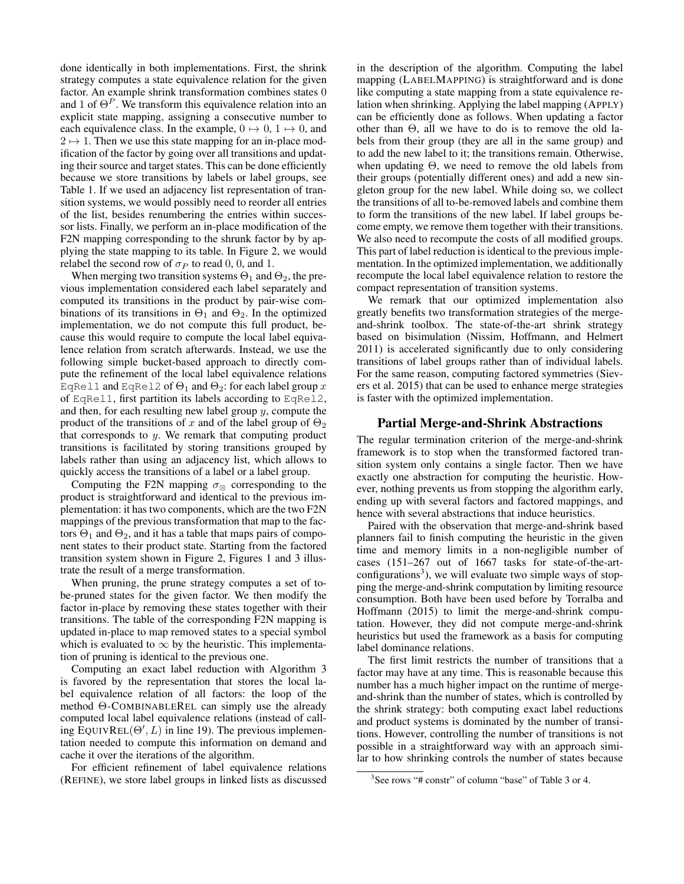done identically in both implementations. First, the shrink strategy computes a state equivalence relation for the given factor. An example shrink transformation combines states 0 and 1 of  $\Theta^P$ . We transform this equivalence relation into an explicit state mapping, assigning a consecutive number to each equivalence class. In the example,  $0 \mapsto 0$ ,  $1 \mapsto 0$ , and  $2 \mapsto 1$ . Then we use this state mapping for an in-place modification of the factor by going over all transitions and updating their source and target states. This can be done efficiently because we store transitions by labels or label groups, see Table 1. If we used an adjacency list representation of transition systems, we would possibly need to reorder all entries of the list, besides renumbering the entries within successor lists. Finally, we perform an in-place modification of the F2N mapping corresponding to the shrunk factor by by applying the state mapping to its table. In Figure 2, we would relabel the second row of  $\sigma_P$  to read 0, 0, and 1.

When merging two transition systems  $\Theta_1$  and  $\Theta_2$ , the previous implementation considered each label separately and computed its transitions in the product by pair-wise combinations of its transitions in  $\Theta_1$  and  $\Theta_2$ . In the optimized implementation, we do not compute this full product, because this would require to compute the local label equivalence relation from scratch afterwards. Instead, we use the following simple bucket-based approach to directly compute the refinement of the local label equivalence relations EqRel1 and EqRel2 of  $\Theta_1$  and  $\Theta_2$ : for each label group  $x$ of EqRel1, first partition its labels according to EqRel2, and then, for each resulting new label group  $y$ , compute the product of the transitions of x and of the label group of  $\Theta_2$ that corresponds to  $y$ . We remark that computing product transitions is facilitated by storing transitions grouped by labels rather than using an adjacency list, which allows to quickly access the transitions of a label or a label group.

Computing the F2N mapping  $\sigma_{\otimes}$  corresponding to the product is straightforward and identical to the previous implementation: it has two components, which are the two F2N mappings of the previous transformation that map to the factors  $\Theta_1$  and  $\Theta_2$ , and it has a table that maps pairs of component states to their product state. Starting from the factored transition system shown in Figure 2, Figures 1 and 3 illustrate the result of a merge transformation.

When pruning, the prune strategy computes a set of tobe-pruned states for the given factor. We then modify the factor in-place by removing these states together with their transitions. The table of the corresponding F2N mapping is updated in-place to map removed states to a special symbol which is evaluated to  $\infty$  by the heuristic. This implementation of pruning is identical to the previous one.

Computing an exact label reduction with Algorithm 3 is favored by the representation that stores the local label equivalence relation of all factors: the loop of the method Θ-COMBINABLEREL can simply use the already computed local label equivalence relations (instead of calling  $\text{Equation 19}$  EQUIVREL( $\Theta'$ , L) in line 19). The previous implementation needed to compute this information on demand and cache it over the iterations of the algorithm.

For efficient refinement of label equivalence relations (REFINE), we store label groups in linked lists as discussed

in the description of the algorithm. Computing the label mapping (LABELMAPPING) is straightforward and is done like computing a state mapping from a state equivalence relation when shrinking. Applying the label mapping (APPLY) can be efficiently done as follows. When updating a factor other than  $\Theta$ , all we have to do is to remove the old labels from their group (they are all in the same group) and to add the new label to it; the transitions remain. Otherwise, when updating  $\Theta$ , we need to remove the old labels from their groups (potentially different ones) and add a new singleton group for the new label. While doing so, we collect the transitions of all to-be-removed labels and combine them to form the transitions of the new label. If label groups become empty, we remove them together with their transitions. We also need to recompute the costs of all modified groups. This part of label reduction is identical to the previous implementation. In the optimized implementation, we additionally recompute the local label equivalence relation to restore the compact representation of transition systems.

We remark that our optimized implementation also greatly benefits two transformation strategies of the mergeand-shrink toolbox. The state-of-the-art shrink strategy based on bisimulation (Nissim, Hoffmann, and Helmert 2011) is accelerated significantly due to only considering transitions of label groups rather than of individual labels. For the same reason, computing factored symmetries (Sievers et al. 2015) that can be used to enhance merge strategies is faster with the optimized implementation.

### Partial Merge-and-Shrink Abstractions

The regular termination criterion of the merge-and-shrink framework is to stop when the transformed factored transition system only contains a single factor. Then we have exactly one abstraction for computing the heuristic. However, nothing prevents us from stopping the algorithm early, ending up with several factors and factored mappings, and hence with several abstractions that induce heuristics.

Paired with the observation that merge-and-shrink based planners fail to finish computing the heuristic in the given time and memory limits in a non-negligible number of cases (151–267 out of 1667 tasks for state-of-the-artconfigurations<sup>3</sup>), we will evaluate two simple ways of stopping the merge-and-shrink computation by limiting resource consumption. Both have been used before by Torralba and Hoffmann (2015) to limit the merge-and-shrink computation. However, they did not compute merge-and-shrink heuristics but used the framework as a basis for computing label dominance relations.

The first limit restricts the number of transitions that a factor may have at any time. This is reasonable because this number has a much higher impact on the runtime of mergeand-shrink than the number of states, which is controlled by the shrink strategy: both computing exact label reductions and product systems is dominated by the number of transitions. However, controlling the number of transitions is not possible in a straightforward way with an approach similar to how shrinking controls the number of states because

<sup>&</sup>lt;sup>3</sup>See rows "# constr" of column "base" of Table 3 or 4.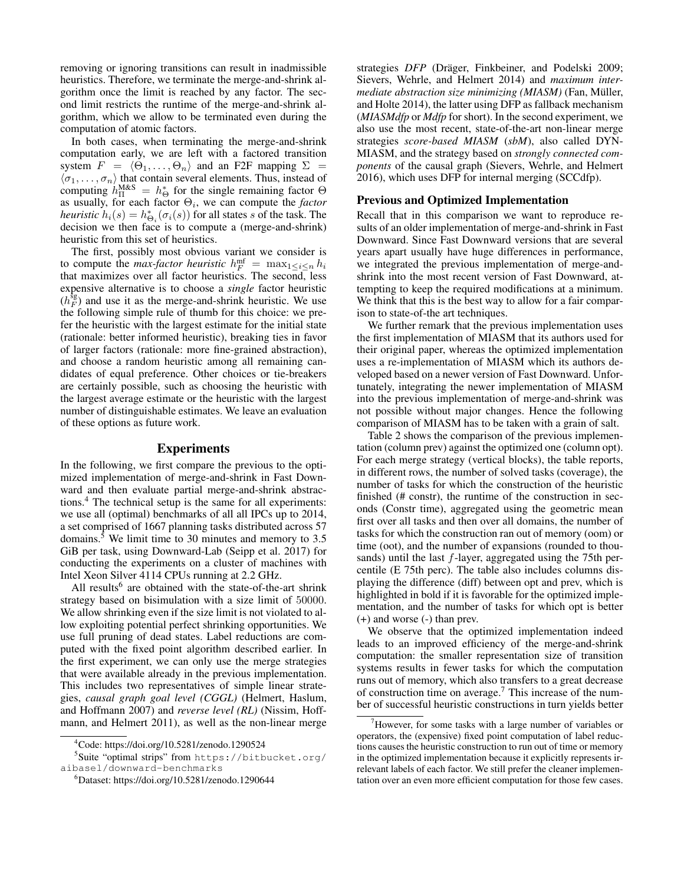removing or ignoring transitions can result in inadmissible heuristics. Therefore, we terminate the merge-and-shrink algorithm once the limit is reached by any factor. The second limit restricts the runtime of the merge-and-shrink algorithm, which we allow to be terminated even during the computation of atomic factors.

In both cases, when terminating the merge-and-shrink computation early, we are left with a factored transition system  $F = \langle \Theta_1, \ldots, \Theta_n \rangle$  and an F2F mapping  $\Sigma$  =  $\langle \sigma_1, \ldots, \sigma_n \rangle$  that contain several elements. Thus, instead of computing  $h_{\Pi}^{M\&S} = h_{\Theta}^*$  for the single remaining factor  $\Theta$ as usually, for each factor  $\Theta_i$ , we can compute the *factor heuristic*  $h_i(s) = h_{\Theta_i}^*(\sigma_i(s))$  for all states s of the task. The decision we then face is to compute a (merge-and-shrink) heuristic from this set of heuristics.

The first, possibly most obvious variant we consider is to compute the *max-factor heuristic*  $h_F^{\text{mf}} = \max_{1 \leq i \leq n} h_i$ that maximizes over all factor heuristics. The second, less expensive alternative is to choose a *single* factor heuristic  $(h_F^{\text{sg}})$  and use it as the merge-and-shrink heuristic. We use the following simple rule of thumb for this choice: we prefer the heuristic with the largest estimate for the initial state (rationale: better informed heuristic), breaking ties in favor of larger factors (rationale: more fine-grained abstraction), and choose a random heuristic among all remaining candidates of equal preference. Other choices or tie-breakers are certainly possible, such as choosing the heuristic with the largest average estimate or the heuristic with the largest number of distinguishable estimates. We leave an evaluation of these options as future work.

#### Experiments

In the following, we first compare the previous to the optimized implementation of merge-and-shrink in Fast Downward and then evaluate partial merge-and-shrink abstractions.<sup>4</sup> The technical setup is the same for all experiments: we use all (optimal) benchmarks of all all IPCs up to 2014, a set comprised of 1667 planning tasks distributed across 57 domains.<sup>5</sup> We limit time to 30 minutes and memory to  $3.5$ GiB per task, using Downward-Lab (Seipp et al. 2017) for conducting the experiments on a cluster of machines with Intel Xeon Silver 4114 CPUs running at 2.2 GHz.

All results<sup>6</sup> are obtained with the state-of-the-art shrink strategy based on bisimulation with a size limit of 50000. We allow shrinking even if the size limit is not violated to allow exploiting potential perfect shrinking opportunities. We use full pruning of dead states. Label reductions are computed with the fixed point algorithm described earlier. In the first experiment, we can only use the merge strategies that were available already in the previous implementation. This includes two representatives of simple linear strategies, *causal graph goal level (CGGL)* (Helmert, Haslum, and Hoffmann 2007) and *reverse level (RL)* (Nissim, Hoffmann, and Helmert 2011), as well as the non-linear merge

5 Suite "optimal strips" from https://bitbucket.org/ aibasel/downward-benchmarks

strategies *DFP* (Dräger, Finkbeiner, and Podelski 2009; Sievers, Wehrle, and Helmert 2014) and *maximum intermediate abstraction size minimizing (MIASM)* (Fan, Müller, and Holte 2014), the latter using DFP as fallback mechanism (*MIASMdfp* or *Mdfp* for short). In the second experiment, we also use the most recent, state-of-the-art non-linear merge strategies *score-based MIASM* (*sbM*), also called DYN-MIASM, and the strategy based on *strongly connected components* of the causal graph (Sievers, Wehrle, and Helmert 2016), which uses DFP for internal merging (SCCdfp).

#### Previous and Optimized Implementation

Recall that in this comparison we want to reproduce results of an older implementation of merge-and-shrink in Fast Downward. Since Fast Downward versions that are several years apart usually have huge differences in performance, we integrated the previous implementation of merge-andshrink into the most recent version of Fast Downward, attempting to keep the required modifications at a minimum. We think that this is the best way to allow for a fair comparison to state-of-the art techniques.

We further remark that the previous implementation uses the first implementation of MIASM that its authors used for their original paper, whereas the optimized implementation uses a re-implementation of MIASM which its authors developed based on a newer version of Fast Downward. Unfortunately, integrating the newer implementation of MIASM into the previous implementation of merge-and-shrink was not possible without major changes. Hence the following comparison of MIASM has to be taken with a grain of salt.

Table 2 shows the comparison of the previous implementation (column prev) against the optimized one (column opt). For each merge strategy (vertical blocks), the table reports, in different rows, the number of solved tasks (coverage), the number of tasks for which the construction of the heuristic finished (# constr), the runtime of the construction in seconds (Constr time), aggregated using the geometric mean first over all tasks and then over all domains, the number of tasks for which the construction ran out of memory (oom) or time (oot), and the number of expansions (rounded to thousands) until the last  $f$ -layer, aggregated using the 75th percentile (E 75th perc). The table also includes columns displaying the difference (diff) between opt and prev, which is highlighted in bold if it is favorable for the optimized implementation, and the number of tasks for which opt is better (+) and worse (-) than prev.

We observe that the optimized implementation indeed leads to an improved efficiency of the merge-and-shrink computation: the smaller representation size of transition systems results in fewer tasks for which the computation runs out of memory, which also transfers to a great decrease of construction time on average.<sup>7</sup> This increase of the number of successful heuristic constructions in turn yields better

 $^{4}$ Code: https://doi.org/10.5281/zenodo.1290524

<sup>6</sup>Dataset: https://doi.org/10.5281/zenodo.1290644

 $7$ However, for some tasks with a large number of variables or operators, the (expensive) fixed point computation of label reductions causes the heuristic construction to run out of time or memory in the optimized implementation because it explicitly represents irrelevant labels of each factor. We still prefer the cleaner implementation over an even more efficient computation for those few cases.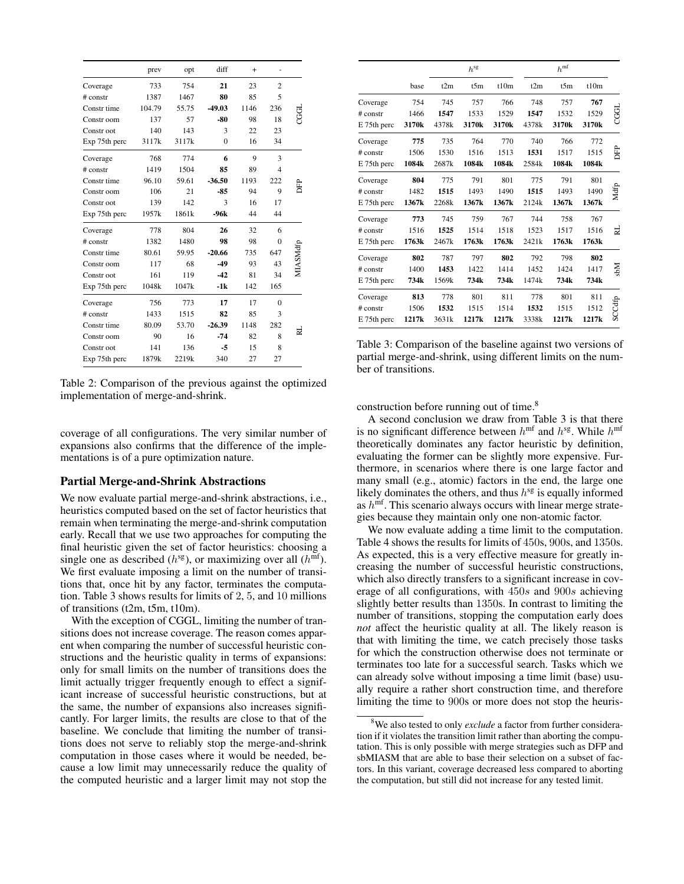|               | prev   | opt   | diff     | $\ddot{}$ |                |          |
|---------------|--------|-------|----------|-----------|----------------|----------|
| Coverage      | 733    | 754   | 21       | 23        | $\overline{c}$ |          |
| $#$ constr    | 1387   | 1467  | 80       | 85        | 5              |          |
| Constr time   | 104.79 | 55.75 | $-49.03$ | 1146      | 236            |          |
| Constr oom    | 137    | 57    | -80      | 98        | 18             |          |
| Constr oot    | 140    | 143   | 3        | 22        | 23             |          |
| Exp 75th perc | 3117k  | 3117k | $\theta$ | 16        | 34             |          |
| Coverage      | 768    | 774   | 6        | 9         | 3              |          |
| $#$ constr    | 1419   | 1504  | 85       | 89        | 4              |          |
| Constr time   | 96.10  | 59.61 | $-36.50$ | 1193      | 222            |          |
| Constr oom    | 106    | 21    | $-85$    | 94        | 9              | È        |
| Constr oot    | 139    | 142   | 3        | 16        | 17             |          |
| Exp 75th perc | 1957k  | 1861k | -96k     | 44        | 44             |          |
| Coverage      | 778    | 804   | 26       | 32        | 6              |          |
| # constr      | 1382   | 1480  | 98       | 98        | $\Omega$       |          |
| Constr time   | 80.61  | 59.95 | $-20.66$ | 735       | 647            | MIASMdfp |
| Constr oom    | 117    | 68    | $-49$    | 93        | 43             |          |
| Constr oot    | 161    | 119   | $-42$    | 81        | 34             |          |
| Exp 75th perc | 1048k  | 1047k | $-1k$    | 142       | 165            |          |
| Coverage      | 756    | 773   | 17       | 17        | $\theta$       |          |
| $#$ constr    | 1433   | 1515  | 82       | 85        | 3              |          |
| Constr time   | 80.09  | 53.70 | $-26.39$ | 1148      | 282            |          |
| Constr oom    | 90     | 16    | $-74$    | 82        | 8              | ≅        |
| Constr oot    | 141    | 136   | $-5$     | 15        | 8              |          |
| Exp 75th perc | 1879k  | 2219k | 340      | 27        | 27             |          |

Table 2: Comparison of the previous against the optimized implementation of merge-and-shrink.

coverage of all configurations. The very similar number of expansions also confirms that the difference of the implementations is of a pure optimization nature.

## Partial Merge-and-Shrink Abstractions

We now evaluate partial merge-and-shrink abstractions, i.e., heuristics computed based on the set of factor heuristics that remain when terminating the merge-and-shrink computation early. Recall that we use two approaches for computing the final heuristic given the set of factor heuristics: choosing a single one as described ( $h^{\text{sg}}$ ), or maximizing over all ( $h^{\text{mf}}$ ). We first evaluate imposing a limit on the number of transitions that, once hit by any factor, terminates the computation. Table 3 shows results for limits of 2, 5, and 10 millions of transitions (t2m, t5m, t10m).

With the exception of CGGL, limiting the number of transitions does not increase coverage. The reason comes apparent when comparing the number of successful heuristic constructions and the heuristic quality in terms of expansions: only for small limits on the number of transitions does the limit actually trigger frequently enough to effect a significant increase of successful heuristic constructions, but at the same, the number of expansions also increases significantly. For larger limits, the results are close to that of the baseline. We conclude that limiting the number of transitions does not serve to reliably stop the merge-and-shrink computation in those cases where it would be needed, because a low limit may unnecessarily reduce the quality of the computed heuristic and a larger limit may not stop the

|             |                   |       | $h^{\rm sg}$      |                   |       | $h^{\text{mf}}$   |                   |         |
|-------------|-------------------|-------|-------------------|-------------------|-------|-------------------|-------------------|---------|
|             | base              | t2m   | t5m               | t10m              | t2m   | t5m               | t10m              |         |
| Coverage    | 754               | 745   | 757               | 766               | 748   | 757               | 767               |         |
| # constr    | 1466              | 1547  | 1533              | 1529              | 1547  | 1532              | 1529              | 명<br>20 |
| E 75th perc | 3170 <sub>k</sub> | 4378k | 3170k             | 3170 <sub>k</sub> | 4378k | 3170 <sub>k</sub> | 3170 <sub>k</sub> |         |
| Coverage    | 775               | 735   | 764               | 770               | 740   | 766               | 772               |         |
| $#$ constr  | 1506              | 1530  | 1516              | 1513              | 1531  | 1517              | 1515              | 岳       |
| E 75th perc | 1084k             | 2687k | 1084k             | 1084k             | 2584k | 1084k             | 1084k             |         |
| Coverage    | 804               | 775   | 791               | 801               | 775   | 791               | 801               |         |
| $#$ constr  | 1482              | 1515  | 1493              | 1490              | 1515  | 1493              | 1490              | Mdfp    |
| E 75th perc | 1367k             | 2268k | 1367 <sub>k</sub> | 1367 <sub>k</sub> | 2124k | 1367 <sub>k</sub> | 1367k             |         |
| Coverage    | 773               | 745   | 759               | 767               | 744   | 758               | 767               |         |
| # constr    | 1516              | 1525  | 1514              | 1518              | 1523  | 1517              | 1516              | 닍       |
| E 75th perc | 1763k             | 2467k | 1763k             | 1763k             | 2421k | 1763k             | 1763k             |         |
| Coverage    | 802               | 787   | 797               | 802               | 792   | 798               | 802               |         |
| # constr    | 1400              | 1453  | 1422              | 1414              | 1452  | 1424              | 1417              | Mds     |
| E 75th perc | 734k              | 1569k | 734k              | 734k              | 1474k | 734k              | 734k              |         |
| Coverage    | 813               | 778   | 801               | 811               | 778   | 801               | 811               |         |
| # constr    | 1506              | 1532  | 1515              | 1514              | 1532  | 1515              | 1512              | SCCdfp  |
| E 75th perc | 1217k             | 3631k | 1217k             | 1217k             | 3338k | 1217k             | 1217k             |         |

Table 3: Comparison of the baseline against two versions of partial merge-and-shrink, using different limits on the number of transitions.

construction before running out of time.<sup>8</sup>

A second conclusion we draw from Table 3 is that there is no significant difference between  $h^{\text{mf}}$  and  $h^{\text{sg}}$ . While  $h^{\text{mf}}$ theoretically dominates any factor heuristic by definition, evaluating the former can be slightly more expensive. Furthermore, in scenarios where there is one large factor and many small (e.g., atomic) factors in the end, the large one likely dominates the others, and thus  $h^{sg}$  is equally informed as  $h^{\text{mf}}$ . This scenario always occurs with linear merge strategies because they maintain only one non-atomic factor.

We now evaluate adding a time limit to the computation. Table 4 shows the results for limits of 450s, 900s, and 1350s. As expected, this is a very effective measure for greatly increasing the number of successful heuristic constructions, which also directly transfers to a significant increase in coverage of all configurations, with 450s and 900s achieving slightly better results than 1350s. In contrast to limiting the number of transitions, stopping the computation early does *not* affect the heuristic quality at all. The likely reason is that with limiting the time, we catch precisely those tasks for which the construction otherwise does not terminate or terminates too late for a successful search. Tasks which we can already solve without imposing a time limit (base) usually require a rather short construction time, and therefore limiting the time to 900s or more does not stop the heuris-

<sup>8</sup>We also tested to only *exclude* a factor from further consideration if it violates the transition limit rather than aborting the computation. This is only possible with merge strategies such as DFP and sbMIASM that are able to base their selection on a subset of factors. In this variant, coverage decreased less compared to aborting the computation, but still did not increase for any tested limit.